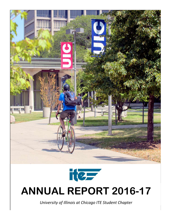



# **ANNUAL REPORT 2016-17**

*University of Illinois at Chicago ITE Student Chapter*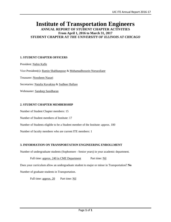## **Institute of Transportation Engineers**

**ANNUAL REPORT OF STUDENT CHAPTER ACTIVITIES From April 1, 2016 to March 31, 2017 STUDENT CHAPTER AT** *THE UNIVERSITY OF ILLINOIS AT CHICAGO*

#### **1. STUDENT CHAPTER OFFICERS**

President: Nabin Kafle Vice President(s): Ramin Shabhanpour & Mohamadhossein Noruzoliaee Treasurer: Noosheen Nazari Secretaries: Natalia Kuvakina & Sudheer Ballare Webmaster: Sandeep Sasidharan

#### **2. STUDENT CHAPTER MEMBERSHIP**

Number of Student Chapter members: 15 Number of Student members of Institute: 17 Number of Students eligible to be a Student member of the Institute: approx. 100

Number of faculty members who are current ITE members: 1

#### **3. INFORMATION ON TRANSPORTATION ENGINEERING ENROLLMENT**

Number of undergraduate students (Sophomore - Senior years) in your academic department.

#### Full time: approx. 240 in CME Department Part time: Nil

Does your curriculum allow an undergraduate student to major or minor in Transportation? **No**

Number of graduate students in Transportation.

Full time: approx. 20 Part time: Nil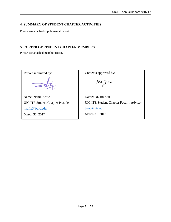#### **4. SUMMARY OF STUDENT CHAPTER ACTIVITIES**

Please see attached supplemental report.

#### **5. ROSTER OF STUDENT CHAPTER MEMBERS**

Please see attached member roster.

Report submitted by: Name: Nabin Kafle UIC ITE Student Chapter President nkafle3@uic.edu March 31, 2017 Contents approved by: Name: Dr. Bo Zou UIC ITE Student Chapter Faculty Advisor bzou@uic.edu March 31, 2017 Bo Zou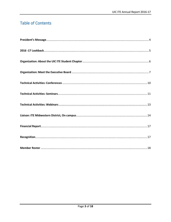## **Table of Contents**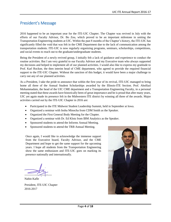## President's Message

2016 happened to be an important year for the ITE-UIC Chapter. The Chapter was revived in July with the efforts of our Faculty Advisor, Dr. Bo Zou, which proved to be an important milestone in uniting the Transportation Engineering students at UIC. Within the past 8 months of the Chapter's history, the ITE-UIC has significantly filled the void that was felt in the CME Department due to the lack of communication among the transportation students. ITE-UIC is now regularly organizing programs, seminars, scholarships, competitions, and social events to reach out to the graduate/undergraduate students.

Being the President of a newly revived group, I initially felt a lack of guidance and experience to conduct the routine activities. But I am very grateful to our Faculty Advisor and my Executive team who always supported my decisions and helped to implement all of our planned activities. I would also like to express my gratitude to Prof. Karl Rockne, the then interim head of CME department, who agreed to provide the required financial support to the ITE-UIC Chapter. Without the sanction of this budget, it would have been a major challenge to carry out any of our planned activities.

As a President, I take the pride to announce that within the first year of its revival, ITE-UIC managed to bring home all three of the Annual Student Scholarships awarded by the Illinois-ITE Section. Prof. Abolfazl Mohammadain, the head of the UIC CME department and a Transportation Engineering Faculty, in a personal meeting stated that these awards have historically been of great importance and he is proud that after many years, UIC yet again made its presence felt in the Midwestern ITE district by winning all three of the awards. Major activities carried out by the ITE-UIC Chapter in 2016 are:

- Participated in the ITE Midwest Student Leadership Summit, held in September at Iowa.
- Organized a seminar with Inshu Minocha from CDM Smith as the Speaker.
- Organized the First General Body Meeting for the Chapter.
- Organized a seminar with Dr. Ed Klotz from IBM Analytics as the Speaker.
- Sponsored students to attend the Informs Annual Meeting.
- Sponsored students to attend the TRB Annual Meeting.

Once again, I would like to acknowledge the immense support from the Executive board, Faculty Advisor, and the CME Department and hope to get the same support for the upcoming years. I hope all students from the Transportation Engineering show the same enthusiasm and ITE-UIC goes on marking its presence nationally and internationally.

----------------------------

Nabin Kafle President, ITE-UIC Chapter 2016-2017

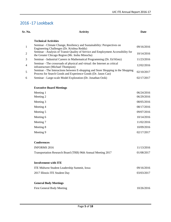## 2016 -17 Lookback

**Sr. No. Activity Date**

| $\mathbf{1}$   | Seminar - Climate Change, Resiliency and Sustainability: Perspectives on<br>Engineering Challenges (Dr. Krishna Reddy)                            | 09/16/2016 |
|----------------|---------------------------------------------------------------------------------------------------------------------------------------------------|------------|
| $\overline{2}$ | Seminar - Analysis of Transit Quality of Service and Employment Accessibility for<br>the Greater Chicago Region (Mr. Inshu Minocha)               | 10/14/2016 |
| 3              | Seminar - Industrial Careers in Mathematical Programming (Dr. Ed Klotz)                                                                           | 11/23/2016 |
| $\overline{4}$ | Seminar - The crossroads of physical and virtual: the Internet as critical<br>infrastructure (Michael Thompson)                                   | 12/02/2016 |
| 5              | Seminar - The Interactions between E-shopping and Store Shopping in the Shopping<br>Process for Search Goods and Experience Goods (Dr. Jason Cao) | 02/10/2017 |
| 6              | Seminar - Large-scale Model Exploration (Dr. Jonathan Ozik)                                                                                       | 02/17/2017 |

#### **Executive Board Meetings**

| 06/24/2016 |
|------------|
| 06/29/2016 |
| 08/05/2016 |
| 08/17/2016 |
| 09/07/2016 |
| 10/14/2016 |
| 11/02/2016 |
| 10/09/2016 |
| 02/17/2017 |
|            |

#### **Conferences**

| <b>INFORMS 2016</b><br>Transportation Research Board (TRB) 96th Annual Meeting 2017 | 11/13/2016<br>01/08/2017 |
|-------------------------------------------------------------------------------------|--------------------------|
| <b>Involvement with ITE</b><br>ITE Midwest Student Leadership Summit, Iowa          | 09/16/2016               |
| 2017 Illinois ITE Student Day                                                       | 03/03/2017               |
| <b>General Body Meetings</b>                                                        |                          |

| <b>First General Body Meeting</b> | 10/26/2016 |
|-----------------------------------|------------|
|                                   |            |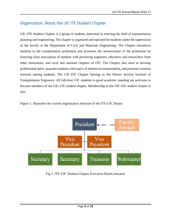## Organization: About the UIC ITE Student Chapter

UIC-ITE Student Chapter is a group of students interested in entering the field of transportation planning and engineering. The chapter is organized and operated by students under the supervision of the faculty at the Department of Civil and Materials Engineering. The Chapter introduces students to the transportation profession and promotes the advancement of the profession by fostering close association of students with practicing engineers, educators and researchers from other institutions, and local and national chapters of ITE. The Chapter also aims to develop professional spirit, acquaint students with topics of interest in transportation, and promote common interests among students. The UIC-ITE Chapter belongs to the Illinois Section Institute of Transportation Engineers. All full-time UIC students in good academic standing are welcome to become members of the UIC-ITE student chapter. Membership in the UIC-ITE student chapter is free.





Fig 1: ITE-UIC Student Chapter Executive Board structure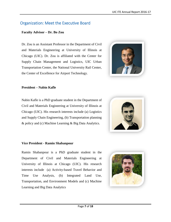## Organization: Meet the Executive Board

#### **Faculty Advisor – Dr. Bo Zou**

Dr. Zou is an Assistant Professor in the Department of Civil and Materials Engineering at University of Illinois at Chicago (UIC). Dr. Zou is affiliated with the Center for Supply Chain Management and Logistics, UIC Urban Transportation Center, the National University Rail Center, the Center of Excellence for Airport Technology.



#### **President – Nabin Kafle**

Nabin Kafle is a PhD graduate student in the Department of Civil and Materials Engineering at University of Illinois at Chicago (UIC). His research interests include (a) Logistics and Supply Chain Engineering, (b) Transportation planning & policy and (c) Machine Learning & Big Data Analytics.



#### **Vice President - Ramin Shabanpour**

Ramin Shabanpour is a PhD graduate student in the Department of Civil and Materials Engineering at University of Illinois at Chicago (UIC). His research interests include (a) Activity-based Travel Behavior and Time Use Analysis, (b) Integrated Land Use, Transportation, and Environment Models and (c) Machine Learning and Big Data Analytics

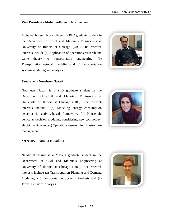#### **Vice President - Mohamadhossein Noruzoliaee**

Mohamadhossein Noruzoliaee is a PhD graduate student in the Department of Civil and Materials Engineering at University of Illinois at Chicago (UIC). His research interests include (a) Application of operations research and game theory to transportation engineering, (b) Transportation network modeling and (c) Transportation systems modeling and analysis.



#### **Treasurer - Noosheen Nazari**

Noosheen Nazari is a PhD graduate student in the Department of Civil and Materials Engineering at University of Illinois at Chicago (UIC). Her research interests include (a) Modeling energy consumption behavior in activity-based framework, (b) Household vehicular decision modeling considering new technology: electric vehicle and (c) Operations research in infrastructure management.



#### **Secretary – Natalia Kuvakina**

Natalia Kuvakina is a Masters graduate student in the Department of Civil and Materials Engineering at University of Illinois at Chicago (UIC). Her research interests include (a) Transportation Planning and Demand Modeling, (b) Transportation Systems Analysis and (c) Travel Behavior Analysis.

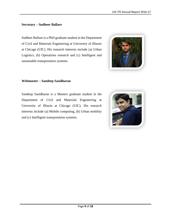#### **Secretary – Sudheer Ballare**

Sudheer Ballare is a PhD graduate student in the Department of Civil and Materials Engineering at University of Illinois at Chicago (UIC). His research interests include (a) Urban Logistics, (b) Operations research and (c) Intelligent and sustainable transportation systems.



#### **Webmaster – Sandeep Sasidharan**

Sandeep Sasidharan is a Masters graduate student in the Department of Civil and Materials Engineering at University of Illinois at Chicago (UIC). His research interests include (a) Mobile computing, (b) Urban mobility and (c) Intelligent transportation systems.

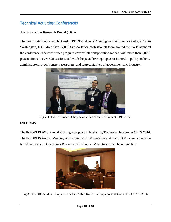## Technical Activities: Conferences

#### **Transportation Research Board (TRB)**

The Transportation Research Board (TRB) 96th Annual Meeting was held January 8–12, 2017, in Washington, D.C. More than 12,000 transportation professionals from around the world attended the conference. The conference program covered all transportation modes, with more than 5,000 presentations in over 800 sessions and workshops, addressing topics of interest to policy makers, administrators, practitioners, researchers, and representatives of government and industry.



Fig 2: ITE-UIC Student Chapter member Nima Golshani at TRB 2017.

### **INFORMS**

The INFORMS 2016 Annual Meeting took place in Nashville, Tennessee, November 13-16, 2016. The INFORMS Annual Meeting, with more than 1,000 sessions and over 5,000 papers, covers the broad landscape of Operations Research and advanced Analytics research and practice.



Fig 3: ITE-UIC Student Chapter President Nabin Kafle making a presentation at INFORMS 2016.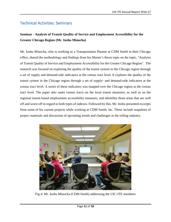## Technical Activities: Seminars

## **Seminar - Analysis of Transit Quality of Service and Employment Accessibility for the Greater Chicago Region (Mr. Inshu Minocha)**

Mr. Inshu Minocha, who is working as a Transportation Planner at CDM Smith in their Chicago office, shared the methodology and findings from his Master's thesis topic on the topic, "Analysis of Transit Quality of Service and Employment Accessibility for the Greater Chicago Region". The research was focused on exploring the quality of the transit system in the Chicago region through a set of supply and demand-side indicators at the census tract level. It explores the quality of the transit system in the Chicago region through a set of supply- and demand-side indicators at the census tract level. A series of these indicators was mapped over the Chicago region at the census tract level. The paper also ranks census tracts on the local transit measures, as well as on the regional transit-based employment accessibility measures, and identifies those areas that are well off and worst off in regard to both types of indexes. Followed by this, Mr. Inshu presented excerpts from some of his current projects while working at CDM Smith, Inc. These include snapshots of project materials and discussion of upcoming trends and challenges in the tolling industry.



Fig 4: Mr. Inshu Minocha (CDM Smith) addressing the UIC-ITE members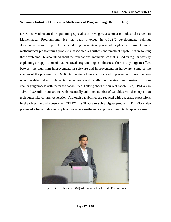#### **Seminar - Industrial Careers in Mathematical Programming (Dr. Ed Klotz)**

Dr. Klotz, Mathematical Programming Specialist at IBM, gave a seminar on Industrial Careers in Mathematical Programming. He has been involved in CPLEX development, training, documentation and support. Dr. Klotz, during the seminar, presented insights on different types of mathematical programming problems, associated algorithms and practical capabilities in solving these problems. He also talked about the foundational mathematics that is used on regular basis by explaining the application of mathematical programming in industries. There is a synergistic effect between the algorithm improvements in software and improvements in hardware. Some of the sources of the progress that Dr. Klotz mentioned were: chip speed improvement; more memory which enables better implementation, accurate and parallel computation; and creation of more challenging models with increased capabilities. Talking about the current capabilities, CPLEX can solve 10-50 million constraints with essentially unlimited number of variables with decomposition techniques like column generation. Although capabilities are reduced with quadratic expressions in the objective and constraints, CPLEX is still able to solve bigger problems. Dr. Klotz also presented a list of industrial applications where mathematical programming techniques are used.



Fig 5: Dr. Ed Klotz (IBM) addressing the UIC-ITE members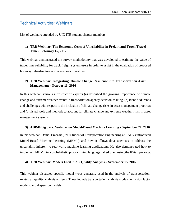## Technical Activities: Webinars

List of webinars attended by UIC-ITE student chapter members:

#### **1) TRB Webinar: The Economic Costs of Unreliability in Freight and Truck Travel Time - February 15, 2017**

This webinar demonstrated the survey methodology that was developed to estimate the value of travel time reliability for truck freight system users in order to assist in the evaluation of proposed highway infrastructure and operations investment.

#### **2) TRB Webinar: Integrating Climate Change Resilience into Transportation Asset Management - October 13, 2016**

In this webinar, various infrastructure experts (a) described the growing importance of climate change and extreme weather events in transportation agency decision-making, (b) identified trends and challenges with respect to the inclusion of climate change risks in asset management practices and (c) listed tools and methods to account for climate change and extreme weather risks in asset management systems.

#### **3) ADB40 big data: Webinar on Model-Based Machine Learning - September 27, 2016**

In this webinar, Daniel Emaasit (PhD Student of Transportation Engineering at UNLV) introduced Model-Based Machine Learning (MBML) and how it allows data scientists to address the uncertainty inherent to real-world machine learning applications. He also demonstrated how to implement MBML in a probabilistic programming language called Stan, using the RStan package.

#### **4) TRB Webinar: Models Used in Air Quality Analysis – September 15, 2016**

This webinar discussed specific model types generally used in the analysis of transportationrelated air quality analysis of fleets. These include transportation analysis models, emission factor models, and dispersion models.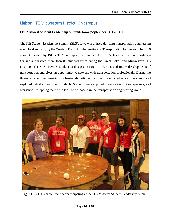## Liaison: ITE Midwestern District, On campus

#### **ITE Midwest Student Leadership Summit, Iowa (September 14-16, 2016)**

The ITE Student Leadership Summit (SLS), Iowa was a three-day long transportation engineering event held annually by the Western District of the Institute of Transportation Engineers. The 2016 summit, hosted by ISU's TSA and sponsored in part by ISU's Institute for Transportation (InTrans), attracted more than 80 students representing the Great Lakes and Midwestern ITE Districts. The SLS provides students a discussion forum of current and future developments of transportation and gives an opportunity to network with transportation professionals. During the three-day event, engineering professionals critiqued resumes, conducted mock interviews, and explored industry trends with students. Students were exposed to various activities, speakers, and workshops equipping them with tools to be leaders in the transportation engineering world.



Fig 6: UIC-ITE chapter member participating at the ITE Midwest Student Leadership Summit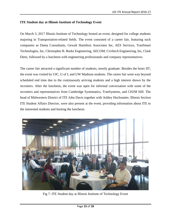#### **ITE Student day at Illinois Institute of Technology Event**

On March 3, 2017 Illinois Institute of Technology hosted an event, designed for college students majoring in Transportation-related fields. The event consisted of a career fair, featuring such companies as Dama Consultants, Gewalt Hamilton Associates Inc, AES Services, TranSmart Technologies, Inc, Christopher B. Burke Engineering, AECOM, Civiltech Engineering, Inc, Clark Dietz, followed by a luncheon with engineering professionals and company representatives.

The career fair attracted a significant number of students, mostly graduate. Besides the hosts IIT, the event was visited by UIC, U of I, and UW Madison students. The career fair went way beyond scheduled end time due to the continuously arriving students and a high interest shown by the recruiters. After the luncheon, the event was open for informal conversation with some of the recruiters and representatives from Cambridge Systematics, TranSystems, and CH2M Hill. The head of Midwestern District of ITE John Davis together with Ashley Hochstatter, Illinois Section ITE Student Affairs Director, were also present at the event, providing information about ITE to the interested students and hosting the luncheon.



Fig 7: ITE Student day at Illinois Institute of Technology Event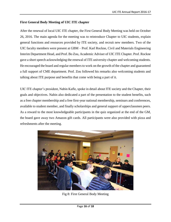#### **First General Body Meeting of UIC ITE chapter**

After the renewal of local UIC ITE chapter, the First General Body Meeting was held on October 26, 2016. The main agenda for the meeting was to reintroduce Chapter to UIC students, explain general functions and resources provided by ITE society, and recruit new members. Two of the UIC faculty members were present at GBM – Prof. Karl Rockne, Civil and Materials Engineering Interim Department Head, and Prof. Bo Zou, Academic Adviser of UIC ITE Chapter. Prof. Rockne gave a short speech acknowledging the renewal of ITE university chapter and welcoming students. He encouraged the board and regular members to work on the growth of the chapter and guaranteed a full support of CME department. Prof. Zou followed his remarks also welcoming students and talking about ITE purpose and benefits that come with being a part of it.

UIC ITE chapter's president, Nabin Kafle, spoke in detail about ITE society and the Chapter, their goals and objectives. Nabin also dedicated a part of the presentation to the student benefits, such as a free chapter membership and a free first-year national membership, seminars and conferences, available to student member, and finally scholarships and general support of upperclassmen peers. As a reward to the most knowledgeable participants in the quiz organized at the end of the GM, the board gave away two Amazon gift cards. All participants were also provided with pizza and refreshments after the meeting.



Fig 8: First General Body Meeting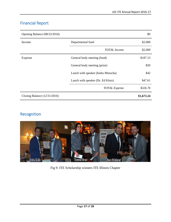## Financial Report

| Opening Balance (08/22/2016)   |                                    | \$0        |
|--------------------------------|------------------------------------|------------|
| Income                         | Departmental fund                  | \$2,000    |
|                                | <b>TOTAL</b> Income                | \$2,000    |
| Expense                        | General body meeting (food)        | \$187.15   |
|                                | General body meeting (prize)       | \$50       |
|                                | Lunch with speaker (Inshu Minocha) | \$42       |
|                                | Lunch with speaker (Dr. Ed Klotz)  | \$47.61    |
|                                | <b>TOTAL</b> Expense               | \$326.76   |
| Closing Balance $(12/31/2016)$ |                                    | \$1,673.24 |

## Recognition



### Fig 9: ITE Scholarship winners ITE Illinois Chapter